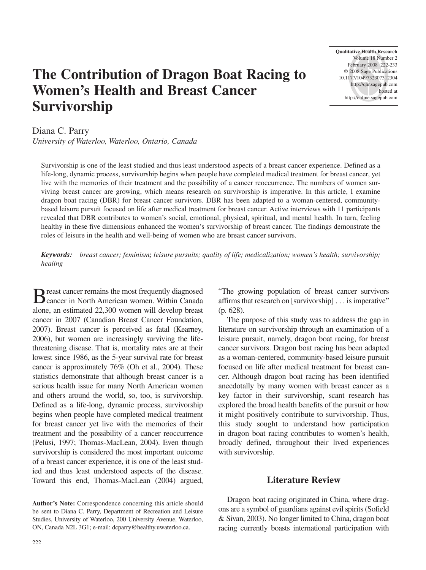# **The Contribution of Dragon Boat Racing to Women's Health and Breast Cancer Survivorship**

**Qualitative Health Research** Volume 18 Number 2 February 2008 222-233 © 2008 Sage Publications 10.1177/1049732307312304 http://qhr.sagepub.com hosted at http://online.sagepub.com

Diana C. Parry

*University of Waterloo, Waterloo, Ontario, Canada*

Survivorship is one of the least studied and thus least understood aspects of a breast cancer experience. Defined as a life-long, dynamic process, survivorship begins when people have completed medical treatment for breast cancer, yet live with the memories of their treatment and the possibility of a cancer reoccurrence. The numbers of women surviving breast cancer are growing, which means research on survivorship is imperative. In this article, I examine dragon boat racing (DBR) for breast cancer survivors. DBR has been adapted to a woman-centered, communitybased leisure pursuit focused on life after medical treatment for breast cancer. Active interviews with 11 participants revealed that DBR contributes to women's social, emotional, physical, spiritual, and mental health. In turn, feeling healthy in these five dimensions enhanced the women's survivorship of breast cancer. The findings demonstrate the roles of leisure in the health and well-being of women who are breast cancer survivors.

*Keywords: breast cancer; feminism; leisure pursuits; quality of life; medicalization; women's health; survivorship; healing*

Beast cancer remains the most frequently diagnosed<br>Cancer in North American women. Within Canada alone, an estimated 22,300 women will develop breast cancer in 2007 (Canadian Breast Cancer Foundation, 2007). Breast cancer is perceived as fatal (Kearney, 2006), but women are increasingly surviving the lifethreatening disease. That is, mortality rates are at their lowest since 1986, as the 5-year survival rate for breast cancer is approximately 76% (Oh et al., 2004). These statistics demonstrate that although breast cancer is a serious health issue for many North American women and others around the world, so, too, is survivorship. Defined as a life-long, dynamic process, survivorship begins when people have completed medical treatment for breast cancer yet live with the memories of their treatment and the possibility of a cancer reoccurrence (Pelusi, 1997; Thomas-MacLean, 2004). Even though survivorship is considered the most important outcome of a breast cancer experience, it is one of the least studied and thus least understood aspects of the disease. Toward this end, Thomas-MacLean (2004) argued,

"The growing population of breast cancer survivors affirms that research on [survivorship] . . . is imperative" (p. 628).

The purpose of this study was to address the gap in literature on survivorship through an examination of a leisure pursuit, namely, dragon boat racing, for breast cancer survivors. Dragon boat racing has been adapted as a woman-centered, community-based leisure pursuit focused on life after medical treatment for breast cancer. Although dragon boat racing has been identified anecdotally by many women with breast cancer as a key factor in their survivorship, scant research has explored the broad health benefits of the pursuit or how it might positively contribute to survivorship. Thus, this study sought to understand how participation in dragon boat racing contributes to women's health, broadly defined, throughout their lived experiences with survivorship.

# **Literature Review**

Dragon boat racing originated in China, where dragons are a symbol of guardians against evil spirits (Sofield & Sivan, 2003). No longer limited to China, dragon boat racing currently boasts international participation with

**Author's Note:** Correspondence concerning this article should be sent to Diana C. Parry, Department of Recreation and Leisure Studies, University of Waterloo, 200 University Avenue, Waterloo, ON, Canada N2L 3G1; e-mail: dcparry@healthy.uwaterloo.ca.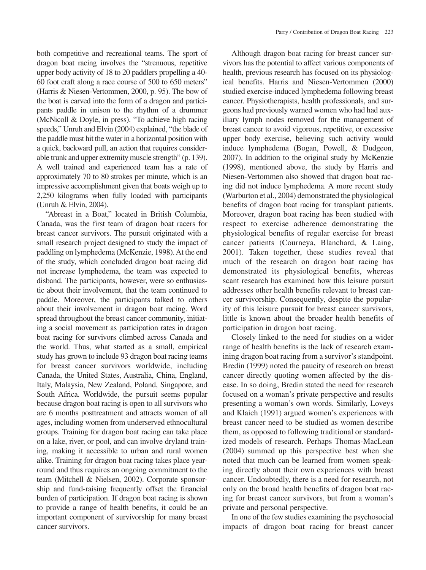both competitive and recreational teams. The sport of dragon boat racing involves the "strenuous, repetitive upper body activity of 18 to 20 paddlers propelling a 40- 60 foot craft along a race course of 500 to 650 meters" (Harris & Niesen-Vertommen, 2000, p. 95). The bow of the boat is carved into the form of a dragon and participants paddle in unison to the rhythm of a drummer (McNicoll & Doyle, in press). "To achieve high racing speeds," Unruh and Elvin (2004) explained, "the blade of the paddle must hit the water in a horizontal position with a quick, backward pull, an action that requires considerable trunk and upper extremity muscle strength" (p. 139). A well trained and experienced team has a rate of approximately 70 to 80 strokes per minute, which is an impressive accomplishment given that boats weigh up to 2,250 kilograms when fully loaded with participants (Unruh & Elvin, 2004).

"Abreast in a Boat," located in British Columbia, Canada, was the first team of dragon boat racers for breast cancer survivors. The pursuit originated with a small research project designed to study the impact of paddling on lymphedema (McKenzie, 1998). At the end of the study, which concluded dragon boat racing did not increase lymphedema, the team was expected to disband. The participants, however, were so enthusiastic about their involvement, that the team continued to paddle. Moreover, the participants talked to others about their involvement in dragon boat racing. Word spread throughout the breast cancer community, initiating a social movement as participation rates in dragon boat racing for survivors climbed across Canada and the world. Thus, what started as a small, empirical study has grown to include 93 dragon boat racing teams for breast cancer survivors worldwide, including Canada, the United States, Australia, China, England, Italy, Malaysia, New Zealand, Poland, Singapore, and South Africa. Worldwide, the pursuit seems popular because dragon boat racing is open to all survivors who are 6 months posttreatment and attracts women of all ages, including women from underserved ethnocultural groups. Training for dragon boat racing can take place on a lake, river, or pool, and can involve dryland training, making it accessible to urban and rural women alike. Training for dragon boat racing takes place yearround and thus requires an ongoing commitment to the team (Mitchell & Nielsen, 2002). Corporate sponsorship and fund-raising frequently offset the financial burden of participation. If dragon boat racing is shown to provide a range of health benefits, it could be an important component of survivorship for many breast cancer survivors.

Although dragon boat racing for breast cancer survivors has the potential to affect various components of health, previous research has focused on its physiological benefits. Harris and Niesen-Vertommen (2000) studied exercise-induced lymphedema following breast cancer. Physiotherapists, health professionals, and surgeons had previously warned women who had had auxiliary lymph nodes removed for the management of breast cancer to avoid vigorous, repetitive, or excessive upper body exercise, believing such activity would induce lymphedema (Bogan, Powell, & Dudgeon, 2007). In addition to the original study by McKenzie (1998), mentioned above, the study by Harris and Niesen-Vertommen also showed that dragon boat racing did not induce lymphedema. A more recent study (Warburton et al., 2004) demonstrated the physiological benefits of dragon boat racing for transplant patients. Moreover, dragon boat racing has been studied with respect to exercise adherence demonstrating the physiological benefits of regular exercise for breast cancer patients (Courneya, Blanchard, & Laing, 2001). Taken together, these studies reveal that much of the research on dragon boat racing has demonstrated its physiological benefits, whereas scant research has examined how this leisure pursuit addresses other health benefits relevant to breast cancer survivorship. Consequently, despite the popularity of this leisure pursuit for breast cancer survivors, little is known about the broader health benefits of participation in dragon boat racing.

Closely linked to the need for studies on a wider range of health benefits is the lack of research examining dragon boat racing from a survivor's standpoint. Bredin (1999) noted the paucity of research on breast cancer directly quoting women affected by the disease. In so doing, Bredin stated the need for research focused on a woman's private perspective and results presenting a woman's own words. Similarly, Loveys and Klaich (1991) argued women's experiences with breast cancer need to be studied as women describe them, as opposed to following traditional or standardized models of research. Perhaps Thomas-MacLean (2004) summed up this perspective best when she noted that much can be learned from women speaking directly about their own experiences with breast cancer. Undoubtedly, there is a need for research, not only on the broad health benefits of dragon boat racing for breast cancer survivors, but from a woman's private and personal perspective.

In one of the few studies examining the psychosocial impacts of dragon boat racing for breast cancer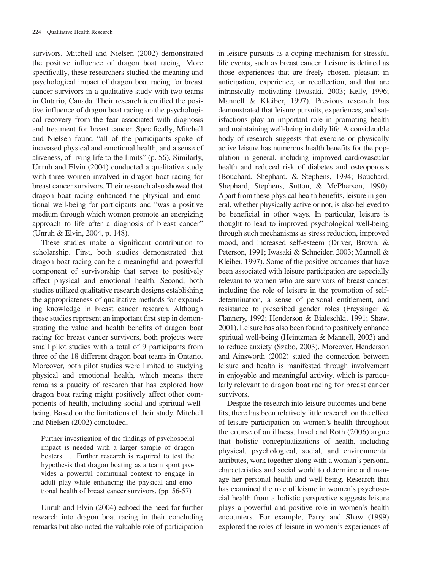survivors, Mitchell and Nielsen (2002) demonstrated the positive influence of dragon boat racing. More specifically, these researchers studied the meaning and psychological impact of dragon boat racing for breast cancer survivors in a qualitative study with two teams in Ontario, Canada. Their research identified the positive influence of dragon boat racing on the psychological recovery from the fear associated with diagnosis and treatment for breast cancer. Specifically, Mitchell and Nielsen found "all of the participants spoke of increased physical and emotional health, and a sense of aliveness, of living life to the limits" (p. 56). Similarly, Unruh and Elvin (2004) conducted a qualitative study with three women involved in dragon boat racing for breast cancer survivors. Their research also showed that dragon boat racing enhanced the physical and emotional well-being for participants and "was a positive medium through which women promote an energizing approach to life after a diagnosis of breast cancer" (Unruh & Elvin, 2004, p. 148).

These studies make a significant contribution to scholarship. First, both studies demonstrated that dragon boat racing can be a meaningful and powerful component of survivorship that serves to positively affect physical and emotional health. Second, both studies utilized qualitative research designs establishing the appropriateness of qualitative methods for expanding knowledge in breast cancer research. Although these studies represent an important first step in demonstrating the value and health benefits of dragon boat racing for breast cancer survivors, both projects were small pilot studies with a total of 9 participants from three of the 18 different dragon boat teams in Ontario. Moreover, both pilot studies were limited to studying physical and emotional health, which means there remains a paucity of research that has explored how dragon boat racing might positively affect other components of health, including social and spiritual wellbeing. Based on the limitations of their study, Mitchell and Nielsen (2002) concluded,

Further investigation of the findings of psychosocial impact is needed with a larger sample of dragon boaters. . . . Further research is required to test the hypothesis that dragon boating as a team sport provides a powerful communal context to engage in adult play while enhancing the physical and emotional health of breast cancer survivors. (pp. 56-57)

Unruh and Elvin (2004) echoed the need for further research into dragon boat racing in their concluding remarks but also noted the valuable role of participation

in leisure pursuits as a coping mechanism for stressful life events, such as breast cancer. Leisure is defined as those experiences that are freely chosen, pleasant in anticipation, experience, or recollection, and that are intrinsically motivating (Iwasaki, 2003; Kelly, 1996; Mannell & Kleiber, 1997). Previous research has demonstrated that leisure pursuits, experiences, and satisfactions play an important role in promoting health and maintaining well-being in daily life. A considerable body of research suggests that exercise or physically active leisure has numerous health benefits for the population in general, including improved cardiovascular health and reduced risk of diabetes and osteoporosis (Bouchard, Shephard, & Stephens, 1994; Bouchard, Shephard, Stephens, Sutton, & McPherson, 1990). Apart from these physical health benefits, leisure in general, whether physically active or not, is also believed to be beneficial in other ways. In particular, leisure is thought to lead to improved psychological well-being through such mechanisms as stress reduction, improved mood, and increased self-esteem (Driver, Brown, & Peterson, 1991; Iwasaki & Schneider, 2003; Mannell & Kleiber, 1997). Some of the positive outcomes that have been associated with leisure participation are especially relevant to women who are survivors of breast cancer, including the role of leisure in the promotion of selfdetermination, a sense of personal entitlement, and resistance to prescribed gender roles (Freysinger & Flannery, 1992; Henderson & Bialeschki, 1991; Shaw, 2001). Leisure has also been found to positively enhance spiritual well-being (Heintzman & Mannell, 2003) and to reduce anxiety (Szabo, 2003). Moreover, Henderson and Ainsworth (2002) stated the connection between leisure and health is manifested through involvement in enjoyable and meaningful activity, which is particularly relevant to dragon boat racing for breast cancer survivors.

Despite the research into leisure outcomes and benefits, there has been relatively little research on the effect of leisure participation on women's health throughout the course of an illness. Insel and Roth (2006) argue that holistic conceptualizations of health, including physical, psychological, social, and environmental attributes, work together along with a woman's personal characteristics and social world to determine and manage her personal health and well-being. Research that has examined the role of leisure in women's psychosocial health from a holistic perspective suggests leisure plays a powerful and positive role in women's health encounters. For example, Parry and Shaw (1999) explored the roles of leisure in women's experiences of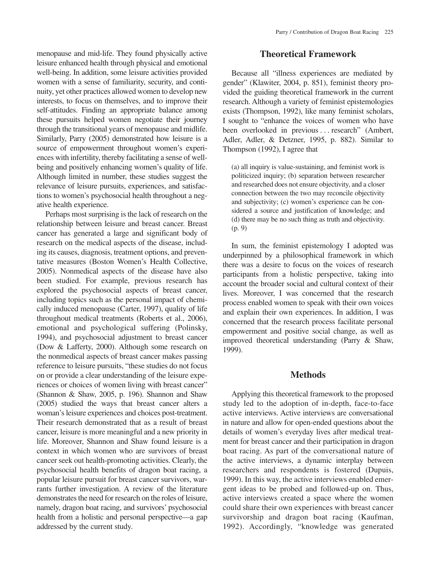menopause and mid-life. They found physically active leisure enhanced health through physical and emotional well-being. In addition, some leisure activities provided women with a sense of familiarity, security, and continuity, yet other practices allowed women to develop new interests, to focus on themselves, and to improve their self-attitudes. Finding an appropriate balance among these pursuits helped women negotiate their journey through the transitional years of menopause and midlife. Similarly, Parry (2005) demonstrated how leisure is a source of empowerment throughout women's experiences with infertility, thereby facilitating a sense of wellbeing and positively enhancing women's quality of life. Although limited in number, these studies suggest the relevance of leisure pursuits, experiences, and satisfactions to women's psychosocial health throughout a negative health experience.

Perhaps most surprising is the lack of research on the relationship between leisure and breast cancer. Breast cancer has generated a large and significant body of research on the medical aspects of the disease, including its causes, diagnosis, treatment options, and preventative measures (Boston Women's Health Collective, 2005). Nonmedical aspects of the disease have also been studied. For example, previous research has explored the psychosocial aspects of breast cancer, including topics such as the personal impact of chemically induced menopause (Carter, 1997), quality of life throughout medical treatments (Roberts et al., 2006), emotional and psychological suffering (Polinsky, 1994), and psychosocial adjustment to breast cancer (Dow & Lafferty, 2000). Although some research on the nonmedical aspects of breast cancer makes passing reference to leisure pursuits, "these studies do not focus on or provide a clear understanding of the leisure experiences or choices of women living with breast cancer" (Shannon & Shaw, 2005, p. 196). Shannon and Shaw (2005) studied the ways that breast cancer alters a woman's leisure experiences and choices post-treatment. Their research demonstrated that as a result of breast cancer, leisure is more meaningful and a new priority in life. Moreover, Shannon and Shaw found leisure is a context in which women who are survivors of breast cancer seek out health-promoting activities. Clearly, the psychosocial health benefits of dragon boat racing, a popular leisure pursuit for breast cancer survivors, warrants further investigation. A review of the literature demonstrates the need for research on the roles of leisure, namely, dragon boat racing, and survivors' psychosocial health from a holistic and personal perspective—a gap addressed by the current study.

## **Theoretical Framework**

Because all "illness experiences are mediated by gender" (Klawiter, 2004, p. 851), feminist theory provided the guiding theoretical framework in the current research. Although a variety of feminist epistemologies exists (Thompson, 1992), like many feminist scholars, I sought to "enhance the voices of women who have been overlooked in previous... research" (Ambert, Adler, Adler, & Detzner, 1995, p. 882). Similar to Thompson (1992), I agree that

(a) all inquiry is value-sustaining, and feminist work is politicized inquiry; (b) separation between researcher and researched does not ensure objectivity, and a closer connection between the two may reconcile objectivity and subjectivity; (c) women's experience can be considered a source and justification of knowledge; and (d) there may be no such thing as truth and objectivity. (p. 9)

In sum, the feminist epistemology I adopted was underpinned by a philosophical framework in which there was a desire to focus on the voices of research participants from a holistic perspective, taking into account the broader social and cultural context of their lives. Moreover, I was concerned that the research process enabled women to speak with their own voices and explain their own experiences. In addition, I was concerned that the research process facilitate personal empowerment and positive social change, as well as improved theoretical understanding (Parry & Shaw, 1999).

#### **Methods**

Applying this theoretical framework to the proposed study led to the adoption of in-depth, face-to-face active interviews. Active interviews are conversational in nature and allow for open-ended questions about the details of women's everyday lives after medical treatment for breast cancer and their participation in dragon boat racing. As part of the conversational nature of the active interviews, a dynamic interplay between researchers and respondents is fostered (Dupuis, 1999). In this way, the active interviews enabled emergent ideas to be probed and followed-up on. Thus, active interviews created a space where the women could share their own experiences with breast cancer survivorship and dragon boat racing (Kaufman, 1992). Accordingly, "knowledge was generated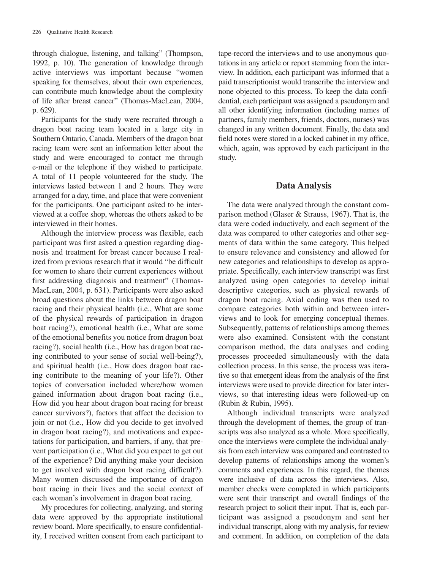through dialogue, listening, and talking" (Thompson, 1992, p. 10). The generation of knowledge through active interviews was important because "women speaking for themselves, about their own experiences, can contribute much knowledge about the complexity of life after breast cancer" (Thomas-MacLean, 2004, p. 629).

Participants for the study were recruited through a dragon boat racing team located in a large city in Southern Ontario, Canada. Members of the dragon boat racing team were sent an information letter about the study and were encouraged to contact me through e-mail or the telephone if they wished to participate. A total of 11 people volunteered for the study. The interviews lasted between 1 and 2 hours. They were arranged for a day, time, and place that were convenient for the participants. One participant asked to be interviewed at a coffee shop, whereas the others asked to be interviewed in their homes.

Although the interview process was flexible, each participant was first asked a question regarding diagnosis and treatment for breast cancer because I realized from previous research that it would "be difficult for women to share their current experiences without first addressing diagnosis and treatment" (Thomas-MacLean, 2004, p. 631). Participants were also asked broad questions about the links between dragon boat racing and their physical health (i.e., What are some of the physical rewards of participation in dragon boat racing?), emotional health (i.e., What are some of the emotional benefits you notice from dragon boat racing?), social health (i.e., How has dragon boat racing contributed to your sense of social well-being?), and spiritual health (i.e., How does dragon boat racing contribute to the meaning of your life?). Other topics of conversation included where/how women gained information about dragon boat racing (i.e., How did you hear about dragon boat racing for breast cancer survivors?), factors that affect the decision to join or not (i.e., How did you decide to get involved in dragon boat racing?), and motivations and expectations for participation, and barriers, if any, that prevent participation (i.e., What did you expect to get out of the experience? Did anything make your decision to get involved with dragon boat racing difficult?). Many women discussed the importance of dragon boat racing in their lives and the social context of each woman's involvement in dragon boat racing.

My procedures for collecting, analyzing, and storing data were approved by the appropriate institutional review board. More specifically, to ensure confidentiality, I received written consent from each participant to

tape-record the interviews and to use anonymous quotations in any article or report stemming from the interview. In addition, each participant was informed that a paid transcriptionist would transcribe the interview and none objected to this process. To keep the data confidential, each participant was assigned a pseudonym and all other identifying information (including names of partners, family members, friends, doctors, nurses) was changed in any written document. Finally, the data and field notes were stored in a locked cabinet in my office, which, again, was approved by each participant in the study.

# **Data Analysis**

The data were analyzed through the constant comparison method (Glaser & Strauss, 1967). That is, the data were coded inductively, and each segment of the data was compared to other categories and other segments of data within the same category. This helped to ensure relevance and consistency and allowed for new categories and relationships to develop as appropriate. Specifically, each interview transcript was first analyzed using open categories to develop initial descriptive categories, such as physical rewards of dragon boat racing. Axial coding was then used to compare categories both within and between interviews and to look for emerging conceptual themes. Subsequently, patterns of relationships among themes were also examined. Consistent with the constant comparison method, the data analyses and coding processes proceeded simultaneously with the data collection process. In this sense, the process was iterative so that emergent ideas from the analysis of the first interviews were used to provide direction for later interviews, so that interesting ideas were followed-up on (Rubin & Rubin, 1995).

Although individual transcripts were analyzed through the development of themes, the group of transcripts was also analyzed as a whole. More specifically, once the interviews were complete the individual analysis from each interview was compared and contrasted to develop patterns of relationships among the women's comments and experiences. In this regard, the themes were inclusive of data across the interviews. Also, member checks were completed in which participants were sent their transcript and overall findings of the research project to solicit their input. That is, each participant was assigned a pseudonym and sent her individual transcript, along with my analysis, for review and comment. In addition, on completion of the data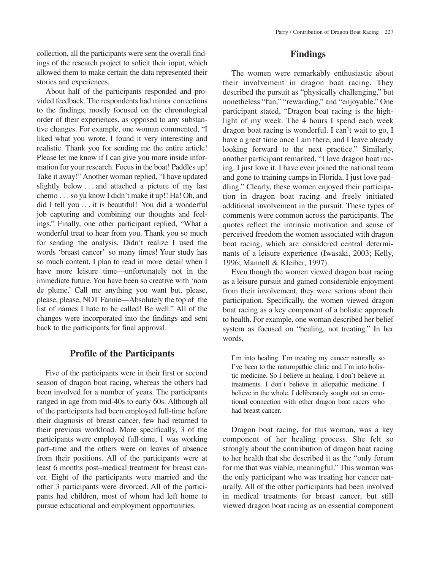collection, all the participants were sent the overall findings of the research project to solicit their input, which allowed them to make certain the data represented their stories and experiences.

About half of the participants responded and provided feedback. The respondents had minor corrections to the findings, mostly focused on the chronological order of their experiences, as opposed to any substantive changes. For example, one woman commented, "I liked what you wrote. I found it very interesting and realistic. Thank you for sending me the entire article! Please let me know if I can give you more inside information for your research. Focus in the boat! Paddles up! Take it away!" Another woman replied, "I have updated slightly below . . . and attached a picture of my last chemo . . . so ya know I didn't make it up!! Ha! Oh, and did I tell you . . . it is beautiful! You did a wonderful job capturing and combining our thoughts and feelings." Finally, one other participant replied, "What a wonderful treat to hear from you. Thank you so much for sending the analysis. Didn't realize I used the words 'breast cancer' so many times! Your study has so much content, I plan to read in more detail when I have more leisure time—unfortunately not in the immediate future. You have been so creative with 'nom de plume.' Call me anything you want but, please, please, please, NOT Fannie—Absolutely the top of the list of names I hate to be called! Be well." All of the changes were incorporated into the findings and sent back to the participants for final approval.

# **Profile of the Participants**

Five of the participants were in their first or second season of dragon boat racing, whereas the others had been involved for a number of years. The participants ranged in age from mid-40s to early 60s. Although all of the participants had been employed full-time before their diagnosis of breast cancer, few had returned to their previous workload. More specifically, 3 of the participants were employed full-time, 1 was working part–time and the others were on leaves of absence from their positions. All of the participants were at least 6 months post–medical treatment for breast cancer. Eight of the participants were married and the other 3 participants were divorced. All of the participants had children, most of whom had left home to pursue educational and employment opportunities.

# **Findings**

The women were remarkably enthusiastic about their involvement in dragon boat racing. They described the pursuit as "physically challenging," but nonetheless "fun," "rewarding," and "enjoyable." One participant stated, "Dragon boat racing is the highlight of my week. The 4 hours I spend each week dragon boat racing is wonderful. I can't wait to go, I have a great time once I am there, and I leave already looking forward to the next practice." Similarly, another participant remarked, "I love dragon boat racing. I just love it. I have even joined the national team and gone to training camps in Florida. I just love paddling." Clearly, these women enjoyed their participation in dragon boat racing and freely initiated additional involvement in the pursuit. These types of comments were common across the participants. The quotes reflect the intrinsic motivation and sense of perceived freedom the women associated with dragon boat racing, which are considered central determinants of a leisure experience (Iwasaki, 2003; Kelly, 1996; Mannell & Kleiber, 1997).

Even though the women viewed dragon boat racing as a leisure pursuit and gained considerable enjoyment from their involvement, they were serious about their participation. Specifically, the women viewed dragon boat racing as a key component of a holistic approach to health. For example, one woman described her belief system as focused on "healing, not treating." In her words,

I'm into healing. I'm treating my cancer naturally so I've been to the naturopathic clinic and I'm into holistic medicine. So I believe in healing. I don't believe in treatments. I don't believe in allopathic medicine. I believe in the whole. I deliberately sought out an emotional connection with other dragon boat racers who had breast cancer.

Dragon boat racing, for this woman, was a key component of her healing process. She felt so strongly about the contribution of dragon boat racing to her health that she described it as the "only forum for me that was viable, meaningful." This woman was the only participant who was treating her cancer naturally. All of the other participants had been involved in medical treatments for breast cancer, but still viewed dragon boat racing as an essential component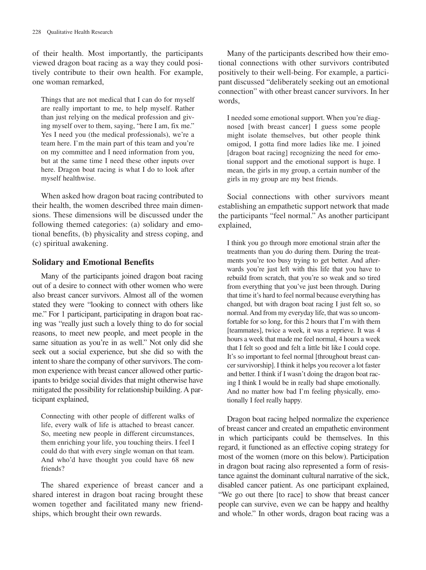of their health. Most importantly, the participants viewed dragon boat racing as a way they could positively contribute to their own health. For example, one woman remarked,

Things that are not medical that I can do for myself are really important to me, to help myself. Rather than just relying on the medical profession and giving myself over to them, saying, "here I am, fix me." Yes I need you (the medical professionals), we're a team here. I'm the main part of this team and you're on my committee and I need information from you, but at the same time I need these other inputs over here. Dragon boat racing is what I do to look after myself healthwise.

When asked how dragon boat racing contributed to their health, the women described three main dimensions. These dimensions will be discussed under the following themed categories: (a) solidary and emotional benefits, (b) physicality and stress coping, and (c) spiritual awakening.

# **Solidary and Emotional Benefits**

Many of the participants joined dragon boat racing out of a desire to connect with other women who were also breast cancer survivors. Almost all of the women stated they were "looking to connect with others like me." For 1 participant, participating in dragon boat racing was "really just such a lovely thing to do for social reasons, to meet new people, and meet people in the same situation as you're in as well." Not only did she seek out a social experience, but she did so with the intent to share the company of other survivors. The common experience with breast cancer allowed other participants to bridge social divides that might otherwise have mitigated the possibility for relationship building. A participant explained,

Connecting with other people of different walks of life, every walk of life is attached to breast cancer. So, meeting new people in different circumstances, them enriching your life, you touching theirs. I feel I could do that with every single woman on that team. And who'd have thought you could have 68 new friends?

The shared experience of breast cancer and a shared interest in dragon boat racing brought these women together and facilitated many new friendships, which brought their own rewards.

Many of the participants described how their emotional connections with other survivors contributed positively to their well-being. For example, a participant discussed "deliberately seeking out an emotional connection" with other breast cancer survivors. In her words,

I needed some emotional support. When you're diagnosed [with breast cancer] I guess some people might isolate themselves, but other people think omigod, I gotta find more ladies like me. I joined [dragon boat racing] recognizing the need for emotional support and the emotional support is huge. I mean, the girls in my group, a certain number of the girls in my group are my best friends.

Social connections with other survivors meant establishing an empathetic support network that made the participants "feel normal." As another participant explained,

I think you go through more emotional strain after the treatments than you do during them. During the treatments you're too busy trying to get better. And afterwards you're just left with this life that you have to rebuild from scratch, that you're so weak and so tired from everything that you've just been through. During that time it's hard to feel normal because everything has changed, but with dragon boat racing I just felt so, so normal. And from my everyday life, that was so uncomfortable for so long, for this 2 hours that I'm with them [teammates], twice a week, it was a reprieve. It was 4 hours a week that made me feel normal, 4 hours a week that I felt so good and felt a little bit like I could cope. It's so important to feel normal [throughout breast cancer survivorship]. I think it helps you recover a lot faster and better. I think if I wasn't doing the dragon boat racing I think I would be in really bad shape emotionally. And no matter how bad I'm feeling physically, emotionally I feel really happy.

Dragon boat racing helped normalize the experience of breast cancer and created an empathetic environment in which participants could be themselves. In this regard, it functioned as an effective coping strategy for most of the women (more on this below). Participation in dragon boat racing also represented a form of resistance against the dominant cultural narrative of the sick, disabled cancer patient. As one participant explained, "We go out there [to race] to show that breast cancer people can survive, even we can be happy and healthy and whole." In other words, dragon boat racing was a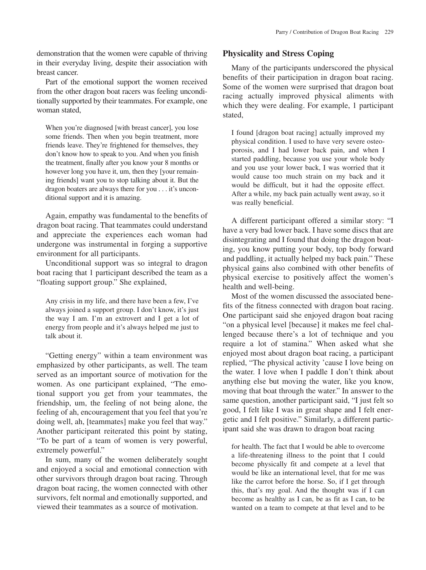demonstration that the women were capable of thriving in their everyday living, despite their association with breast cancer.

Part of the emotional support the women received from the other dragon boat racers was feeling unconditionally supported by their teammates. For example, one woman stated,

When you're diagnosed [with breast cancer], you lose some friends. Then when you begin treatment, more friends leave. They're frightened for themselves, they don't know how to speak to you. And when you finish the treatment, finally after you know your 8 months or however long you have it, um, then they [your remaining friends] want you to stop talking about it. But the dragon boaters are always there for you . . . it's unconditional support and it is amazing.

Again, empathy was fundamental to the benefits of dragon boat racing. That teammates could understand and appreciate the experiences each woman had undergone was instrumental in forging a supportive environment for all participants.

Unconditional support was so integral to dragon boat racing that 1 participant described the team as a "floating support group." She explained,

Any crisis in my life, and there have been a few, I've always joined a support group. I don't know, it's just the way I am. I'm an extrovert and I get a lot of energy from people and it's always helped me just to talk about it.

"Getting energy" within a team environment was emphasized by other participants, as well. The team served as an important source of motivation for the women. As one participant explained, "The emotional support you get from your teammates, the friendship, um, the feeling of not being alone, the feeling of ah, encouragement that you feel that you're doing well, ah, [teammates] make you feel that way." Another participant reiterated this point by stating, "To be part of a team of women is very powerful, extremely powerful."

In sum, many of the women deliberately sought and enjoyed a social and emotional connection with other survivors through dragon boat racing. Through dragon boat racing, the women connected with other survivors, felt normal and emotionally supported, and viewed their teammates as a source of motivation.

### **Physicality and Stress Coping**

Many of the participants underscored the physical benefits of their participation in dragon boat racing. Some of the women were surprised that dragon boat racing actually improved physical aliments with which they were dealing. For example, 1 participant stated,

I found [dragon boat racing] actually improved my physical condition. I used to have very severe osteoporosis, and I had lower back pain, and when I started paddling, because you use your whole body and you use your lower back, I was worried that it would cause too much strain on my back and it would be difficult, but it had the opposite effect. After a while, my back pain actually went away, so it was really beneficial.

A different participant offered a similar story: "I have a very bad lower back. I have some discs that are disintegrating and I found that doing the dragon boating, you know putting your body, top body forward and paddling, it actually helped my back pain." These physical gains also combined with other benefits of physical exercise to positively affect the women's health and well-being.

Most of the women discussed the associated benefits of the fitness connected with dragon boat racing. One participant said she enjoyed dragon boat racing "on a physical level [because] it makes me feel challenged because there's a lot of technique and you require a lot of stamina." When asked what she enjoyed most about dragon boat racing, a participant replied, "The physical activity 'cause I love being on the water. I love when I paddle I don't think about anything else but moving the water, like you know, moving that boat through the water." In answer to the same question, another participant said, "I just felt so good, I felt like I was in great shape and I felt energetic and I felt positive." Similarly, a different participant said she was drawn to dragon boat racing

for health. The fact that I would be able to overcome a life-threatening illness to the point that I could become physically fit and compete at a level that would be like an international level, that for me was like the carrot before the horse. So, if I get through this, that's my goal. And the thought was if I can become as healthy as I can, be as fit as I can, to be wanted on a team to compete at that level and to be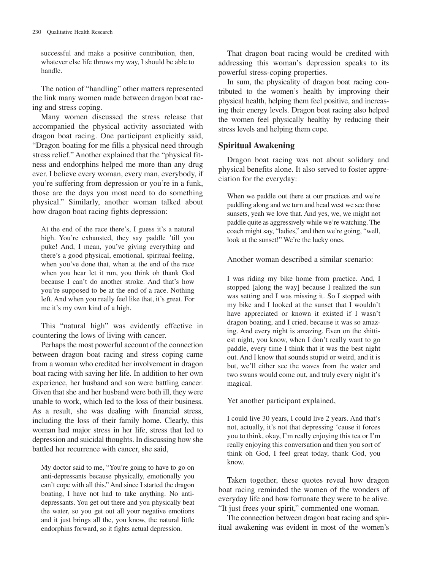successful and make a positive contribution, then, whatever else life throws my way, I should be able to handle.

The notion of "handling" other matters represented the link many women made between dragon boat racing and stress coping.

Many women discussed the stress release that accompanied the physical activity associated with dragon boat racing. One participant explicitly said, "Dragon boating for me fills a physical need through stress relief." Another explained that the "physical fitness and endorphins helped me more than any drug ever. I believe every woman, every man, everybody, if you're suffering from depression or you're in a funk, those are the days you most need to do something physical." Similarly, another woman talked about how dragon boat racing fights depression:

At the end of the race there's, I guess it's a natural high. You're exhausted, they say paddle 'till you puke! And, I mean, you've giving everything and there's a good physical, emotional, spiritual feeling, when you've done that, when at the end of the race when you hear let it run, you think oh thank God because I can't do another stroke. And that's how you're supposed to be at the end of a race. Nothing left. And when you really feel like that, it's great. For me it's my own kind of a high.

This "natural high" was evidently effective in countering the lows of living with cancer.

Perhaps the most powerful account of the connection between dragon boat racing and stress coping came from a woman who credited her involvement in dragon boat racing with saving her life. In addition to her own experience, her husband and son were battling cancer. Given that she and her husband were both ill, they were unable to work, which led to the loss of their business. As a result, she was dealing with financial stress, including the loss of their family home. Clearly, this woman had major stress in her life, stress that led to depression and suicidal thoughts. In discussing how she battled her recurrence with cancer, she said,

My doctor said to me, "You're going to have to go on anti-depressants because physically, emotionally you can't cope with all this." And since I started the dragon boating, I have not had to take anything. No antidepressants. You get out there and you physically beat the water, so you get out all your negative emotions and it just brings all the, you know, the natural little endorphins forward, so it fights actual depression.

That dragon boat racing would be credited with addressing this woman's depression speaks to its powerful stress-coping properties.

In sum, the physicality of dragon boat racing contributed to the women's health by improving their physical health, helping them feel positive, and increasing their energy levels. Dragon boat racing also helped the women feel physically healthy by reducing their stress levels and helping them cope.

# **Spiritual Awakening**

Dragon boat racing was not about solidary and physical benefits alone. It also served to foster appreciation for the everyday:

When we paddle out there at our practices and we're paddling along and we turn and head west we see those sunsets, yeah we love that. And yes, we, we might not paddle quite as aggressively while we're watching. The coach might say, "ladies," and then we're going, "well, look at the sunset!" We're the lucky ones.

Another woman described a similar scenario:

I was riding my bike home from practice. And, I stopped [along the way] because I realized the sun was setting and I was missing it. So I stopped with my bike and I looked at the sunset that I wouldn't have appreciated or known it existed if I wasn't dragon boating, and I cried, because it was so amazing. And every night is amazing. Even on the shittiest night, you know, when I don't really want to go paddle, every time I think that it was the best night out. And I know that sounds stupid or weird, and it is but, we'll either see the waves from the water and two swans would come out, and truly every night it's magical.

Yet another participant explained,

I could live 30 years, I could live 2 years. And that's not, actually, it's not that depressing 'cause it forces you to think, okay, I'm really enjoying this tea or I'm really enjoying this conversation and then you sort of think oh God, I feel great today, thank God, you know.

Taken together, these quotes reveal how dragon boat racing reminded the women of the wonders of everyday life and how fortunate they were to be alive. "It just frees your spirit," commented one woman.

The connection between dragon boat racing and spiritual awakening was evident in most of the women's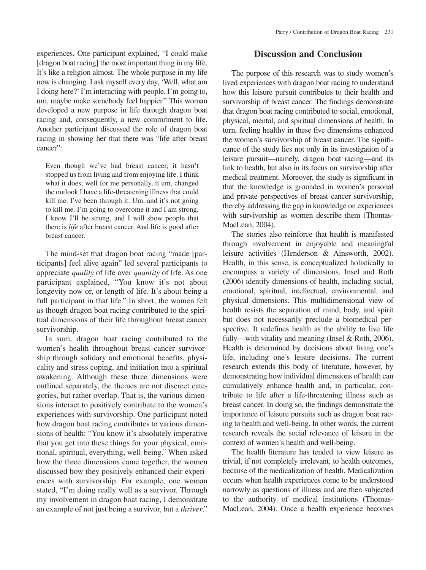experiences. One participant explained, "I could make [dragon boat racing] the most important thing in my life. It's like a religion almost. The whole purpose in my life now is changing. I ask myself every day, 'Well, what am I doing here?' I'm interacting with people. I'm going to, um, maybe make somebody feel happier." This woman developed a new purpose in life through dragon boat racing and, consequently, a new commitment to life. Another participant discussed the role of dragon boat racing in showing her that there was "life after breast cancer":

Even though we've had breast cancer, it hasn't stopped us from living and from enjoying life. I think what it does, well for me personally, it um, changed the outlook I have a life-threatening illness that could kill me. I've been through it. Um, and it's not going to kill me. I'm going to overcome it and I am strong, I know I'll be strong, and I will show people that there is *life* after breast cancer. And life is good after breast cancer.

The mind-set that dragon boat racing "made [participants] feel alive again" led several participants to appreciate *quality* of life over *quantity* of life. As one participant explained, "You know it's not about longevity now or, or length of life. It's about being a full participant in that life." In short, the women felt as though dragon boat racing contributed to the spiritual dimensions of their life throughout breast cancer survivorship.

In sum, dragon boat racing contributed to the women's health throughout breast cancer survivorship through solidary and emotional benefits, physicality and stress coping, and initiation into a spiritual awakening. Although these three dimensions were outlined separately, the themes are not discreet categories, but rather overlap. That is, the various dimensions interact to positively contribute to the women's experiences with survivorship. One participant noted how dragon boat racing contributes to various dimensions of health: "You know it's absolutely imperative that you get into these things for your physical, emotional, spiritual, everything, well-being." When asked how the three dimensions came together, the women discussed how they positively enhanced their experiences with survivorship. For example, one woman stated, "I'm doing really well as a survivor. Through my involvement in dragon boat racing, I demonstrate an example of not just being a survivor, but a *thriver*."

## **Discussion and Conclusion**

The purpose of this research was to study women's lived experiences with dragon boat racing to understand how this leisure pursuit contributes to their health and survivorship of breast cancer. The findings demonstrate that dragon boat racing contributed to social, emotional, physical, mental, and spiritual dimensions of health. In turn, feeling healthy in these five dimensions enhanced the women's survivorship of breast cancer. The significance of the study lies not only in its investigation of a leisure pursuit—namely, dragon boat racing—and its link to health, but also in its focus on survivorship after medical treatment. Moreover, the study is significant in that the knowledge is grounded in women's personal and private perspectives of breast cancer survivorship, thereby addressing the gap in knowledge on experiences with survivorship as women describe them (Thomas-MacLean, 2004).

The stories also reinforce that health is manifested through involvement in enjoyable and meaningful leisure activities (Henderson & Ainsworth, 2002). Health, in this sense, is conceptualized holistically to encompass a variety of dimensions. Insel and Roth (2006) identify dimensions of health, including social, emotional, spiritual, intellectual, environmental, and physical dimensions. This multidimensional view of health resists the separation of mind, body, and spirit but does not necessarily preclude a biomedical perspective. It redefines health as the ability to live life fully—with vitality and meaning (Insel & Roth, 2006). Health is determined by decisions about living one's life, including one's leisure decisions. The current research extends this body of literature, however, by demonstrating how individual dimensions of health can cumulatively enhance health and, in particular, contribute to life after a life-threatening illness such as breast cancer. In doing so, the findings demonstrate the importance of leisure pursuits such as dragon boat racing to health and well-being. In other words, the current research reveals the social relevance of leisure in the context of women's health and well-being.

The health literature has tended to view leisure as trivial, if not completely irrelevant, to health outcomes, because of the medicalization of health. Medicalization occurs when health experiences come to be understood narrowly as questions of illness and are then subjected to the authority of medical institutions (Thomas-MacLean, 2004). Once a health experience becomes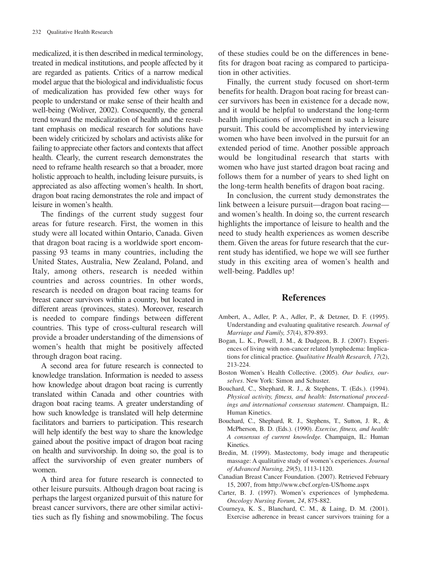medicalized, it is then described in medical terminology, treated in medical institutions, and people affected by it are regarded as patients. Critics of a narrow medical model argue that the biological and individualistic focus of medicalization has provided few other ways for people to understand or make sense of their health and well-being (Woliver, 2002). Consequently, the general trend toward the medicalization of health and the resultant emphasis on medical research for solutions have been widely criticized by scholars and activists alike for failing to appreciate other factors and contexts that affect health. Clearly, the current research demonstrates the need to reframe health research so that a broader, more holistic approach to health, including leisure pursuits, is appreciated as also affecting women's health. In short, dragon boat racing demonstrates the role and impact of leisure in women's health.

The findings of the current study suggest four areas for future research. First, the women in this study were all located within Ontario, Canada. Given that dragon boat racing is a worldwide sport encompassing 93 teams in many countries, including the United States, Australia, New Zealand, Poland, and Italy, among others, research is needed within countries and across countries. In other words, research is needed on dragon boat racing teams for breast cancer survivors within a country, but located in different areas (provinces, states). Moreover, research is needed to compare findings between different countries. This type of cross-cultural research will provide a broader understanding of the dimensions of women's health that might be positively affected through dragon boat racing.

A second area for future research is connected to knowledge translation. Information is needed to assess how knowledge about dragon boat racing is currently translated within Canada and other countries with dragon boat racing teams. A greater understanding of how such knowledge is translated will help determine facilitators and barriers to participation. This research will help identify the best way to share the knowledge gained about the positive impact of dragon boat racing on health and survivorship. In doing so, the goal is to affect the survivorship of even greater numbers of women.

A third area for future research is connected to other leisure pursuits. Although dragon boat racing is perhaps the largest organized pursuit of this nature for breast cancer survivors, there are other similar activities such as fly fishing and snowmobiling. The focus

of these studies could be on the differences in benefits for dragon boat racing as compared to participation in other activities.

Finally, the current study focused on short-term benefits for health. Dragon boat racing for breast cancer survivors has been in existence for a decade now, and it would be helpful to understand the long-term health implications of involvement in such a leisure pursuit. This could be accomplished by interviewing women who have been involved in the pursuit for an extended period of time. Another possible approach would be longitudinal research that starts with women who have just started dragon boat racing and follows them for a number of years to shed light on the long-term health benefits of dragon boat racing.

In conclusion, the current study demonstrates the link between a leisure pursuit—dragon boat racing and women's health. In doing so, the current research highlights the importance of leisure to health and the need to study health experiences as women describe them. Given the areas for future research that the current study has identified, we hope we will see further study in this exciting area of women's health and well-being. Paddles up!

## **References**

- Ambert, A., Adler, P. A., Adler, P., & Detzner, D. F. (1995). Understanding and evaluating qualitative research. *Journal of Marriage and Family, 57*(4), 879-893.
- Bogan, L. K., Powell, J. M., & Dudgeon, B. J. (2007). Experiences of living with non-cancer related lymphedema: Implications for clinical practice. *Qualitative Health Research, 17*(2), 213-224.
- Boston Women's Health Collective. (2005). *Our bodies, ourselves*. New York: Simon and Schuster.
- Bouchard, C., Shephard, R. J., & Stephens, T. (Eds.). (1994). *Physical activity, fitness, and health: International proceedings and international consensus statement*. Champaign, IL: Human Kinetics.
- Bouchard, C., Shephard, R. J., Stephens, T., Sutton, J. R., & McPherson, B. D. (Eds.). (1990). *Exercise, fitness, and health: A consensus of current knowledge.* Champaign, IL: Human Kinetics.
- Bredin, M. (1999). Mastectomy, body image and therapeutic massage: A qualitative study of women's experiences. *Journal of Advanced Nursing, 29*(5), 1113-1120.
- Canadian Breast Cancer Foundation. (2007). Retrieved February 15, 2007, from http://www.cbcf.org/en-US/home.aspx
- Carter, B. J. (1997). Women's experiences of lymphedema. *Oncology Nursing Forum, 24*, 875-882.
- Courneya, K. S., Blanchard, C. M., & Laing, D. M. (2001). Exercise adherence in breast cancer survivors training for a